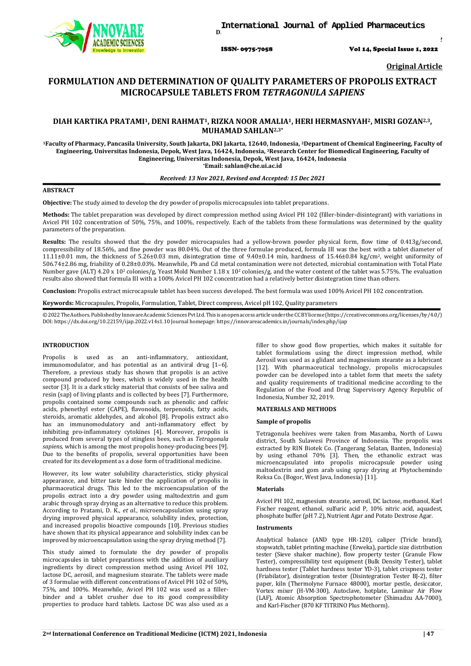

ISSN- 0975-7058 Vol 14, Special Issue 1, 2022

*Int J App Pharm, Vol 14, Special Issue 1, 2022, 47-52*

**Original Article**

# **FORMULATION AND DETERMINATION OF QUALITY PARAMETERS OF PROPOLIS EXTRACT MICROCAPSULE TABLETS FROM** *TETRAGONULA SAPIENS*

## **DIAH KARTIKA PRATAMI1, DENI RAHMAT1, RIZKA NOOR AMALIA1, HERI HERMASNYAH2, MISRI GOZAN2,3, MUHAMAD SAHLAN2,3\***

**1Faculty of Pharmacy, Pancasila University, South Jakarta, DKI Jakarta, 12640, Indonesia, 2Department of Chemical Engineering, Faculty of Engineering, Universitas Indonesia, Depok, West Java, 16424, Indonesia, 3Research Center for Biomedical Engineering, Faculty of Engineering, Universitas Indonesia, Depok, West Java, 16424, Indonesia \*Email: sahlan@che.ui.ac.id**

## *Received: 13 Nov 2021, Revised and Accepted: 15 Dec 2021*

## **ABSTRACT**

**Objective:** The study aimed to develop the dry powder of propolis microcapsules into tablet preparations.

**Methods:** The tablet preparation was developed by direct compression method using Avicel PH 102 (filler-binder-disintegrant) with variations in Avicel PH 102 concentration of 50%, 75%, and 100%, respectively. Each of the tablets from these formulations was determined by the quality parameters of the preparation.

**Results:** The results showed that the dry powder microcapsules had a yellow-brown powder physical form, flow time of 0.413g/second, compressibility of 18.56%, and fine powder was 80.04%. Out of the three formulae produced, formula III was the best with a tablet diameter of 11.11±0.01 mm, the thickness of 5.26±0.03 mm, disintegration time of 9.40±0.14 min, hardness of 15.46±0.84 kg/cm2, weight uniformity of 506.74±2.86 mg, friability of 0.28±0.03%. Meanwhile, Pb and Cd metal contamination were not detected, microbial contamination with Total Plate Number gave (ALT) 4.20 x 10<sup>2</sup> colonies/g, Yeast Mold Number 1.18 x 10<sup>2</sup> colonies/g, and the water content of the tablet was 5.75%. The evaluation results also showed that formula III with a 100% Avicel PH 102 concentration had a relatively better disintegration time than others.

**Conclusion:** Propolis extract microcapsule tablet has been success developed. The best formula was used 100% Avicel PH 102 concentration.

**Keywords:** Microcapsules, Propolis, Formulation, Tablet, Direct compress, Avicel pH 102, Quality parameters

©2022TheAuthors.PublishedbyInnovareAcademicSciencesPvtLtd.Thisisanopenaccessarticleunder theCCBYlicense(https://creati[vecommons.o](http://creativecommons/)rg/licenses/by/4.0/) DOI: [https://dx.doi.org/10.22159/ijap.2022.v14s1.1](https://dx.doi.org/10.22159/ijap.2022.v14s1)0 Journal homepage[: https://innovareacademics.in/journals/index.php/ijap](https://innovareacademics.in/journals/index.php/ijap)

## **INTRODUCTION**

Propolis is used as an anti-inflammatory, antioxidant, immunomodulator, and has potential as an antiviral drug [1–6]. Therefore, a previous study has shown that propolis is an active compound produced by bees, which is widely used in the health sector [3]. It is a dark sticky material that consists of bee saliva and resin (sap) of living plants and is collected by bees [7]. Furthermore, propolis contained some compounds such as phenolic and caffeic acids, phenethyl ester (CAPE), flavonoids, terpenoids, fatty acids, steroids, aromatic aldehydes, and alcohol [8]. Propolis extract also has an immunomodulatory and anti-inflammatory effect by inhibiting pro-inflammatory cytokines [4]. Moreover, propolis is produced from several types of stingless bees, such as *Tetragonula sapiens*, which is among the most propolis honey-producing bees [9]. Due to the benefits of propolis, several opportunities have been created for its development as a dose form of traditional medicine.

However, its low water solubility characteristics, sticky physical appearance, and bitter taste hinder the application of propolis in pharmaceutical drugs. This led to the microencapsulation of the propolis extract into a dry powder using maltodextrin and gum arabic through spray drying as an alternative to reduce this problem. According to Pratami, D. K., *et al.*, microencapsulation using spray drying improved physical appearance, solubility index, protection, and increased propolis bioactive compounds [10]. Previous studies have shown that its physical appearance and solubility index can be improved by microencapsulation using the spray drying method [7].

This study aimed to formulate the dry powder of propolis microcapsules in tablet preparations with the addition of auxiliary ingredients by direct compression method using Avicel PH 102, lactose DC, aerosil, and magnesium stearate. The tablets were made of 3 formulae with different concentrations of Avicel PH 102 of 50%, 75%, and 100%. Meanwhile, Avicel PH 102 was used as a fillerbinder and a tablet crusher due to its good compressibility properties to produce hard tablets. Lactose DC was also used as a filler to show good flow properties, which makes it suitable for tablet formulations using the direct impression method, while Aerosil was used as a glidant and magnesium stearate as a lubricant [12]. With pharmaceutical technology, propolis microcapsules powder can be developed into a tablet form that meets the safety and quality requirements of traditional medicine according to the Regulation of the Food and Drug Supervisory Agency Republic of Indonesia, Number 32, 2019.

### **MATERIALS AND METHODS**

### **Sample of propolis**

Tetragonula beehives were taken from Masamba, North of Luwu district, South Sulawesi Province of Indonesia. The propolis was extracted by RIN Biotek Co. (Tangerang Selatan, Banten, Indonesia) by using ethanol 70% [3]. Then, the ethanolic extract was microencapsulated into propolis microcapsule powder using maltodextrin and gom arab using spray drying at Phytochemindo Reksa Co. (Bogor, West Java, Indonesia) [11].

### **Materials**

Avicel PH 102, magnesium stearate, aerosil, DC lactose, methanol, Karl Fischer reagent, ethanol, sulfuric acid P, 10% nitric acid, aquadest, phosphate buffer (pH 7.2), Nutrient Agar and Potato Dextrose Agar.

### **Instruments**

Analytical balance (AND type HR-120), caliper (Tricle brand), stopwatch, tablet printing machine (Erweka), particle size distribution tester (Sieve shaker machine), flow property tester (Granule Flow Tester), compressibility test equipment (Bulk Density Tester), tablet hardness tester (Tablet hardness tester YD-3), tablet crispness tester (Friabilator), disintegration tester (Disintegration Tester BJ-2), filter paper, kiln (Thermolyne Furnace 48000), mortar pestle, desiccator, Vortex mixer (H-VM-300), Autoclave, hotplate, Laminar Air Flow (LAF), Atomic Absorption Spectrophotometer (Shimadzu AA-7000), and Karl-Fischer (870 KF TITRINO Plus Methorm).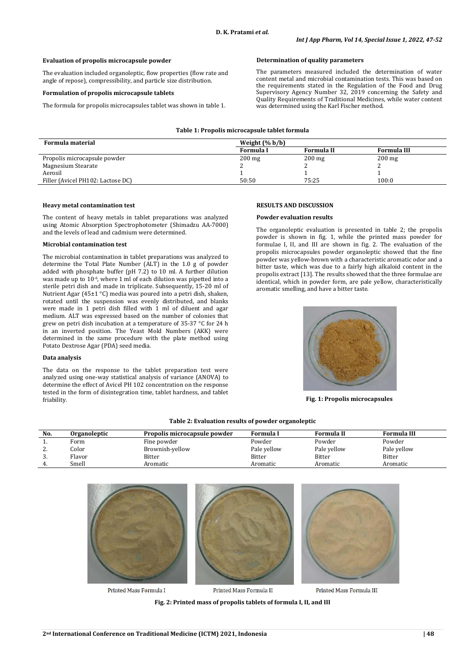## **Evaluation of propolis microcapsule powder**

The evaluation included organoleptic, flow properties (flow rate and angle of repose), compressibility, and particle size distribution.

## **Formulation of propolis microcapsule tablets**

The formula for propolis microcapsules tablet was shown in table 1.

## **Determination of quality parameters**

The parameters measured included the determination of water content metal and microbial contamination tests. This was based on the requirements stated in the Regulation of the Food and Drug Supervisory Agency Number 32, 2019 concerning the Safety and Quality Requirements of Traditional Medicines, while water content was determined using the Karl Fischer method.

| Table 1: Propolis microcapsule tablet formula |  |  |
|-----------------------------------------------|--|--|
|-----------------------------------------------|--|--|

| Formula material                  | Weight $(\% b/b)$ |            |                    |
|-----------------------------------|-------------------|------------|--------------------|
|                                   | Formula I         | Formula II | <b>Formula III</b> |
| Propolis microcapsule powder      | $200 \text{ mg}$  | $200$ mg   | $200 \text{ mg}$   |
| Magnesium Stearate                |                   |            |                    |
| Aerosil                           |                   |            |                    |
| Filler (Avicel PH102: Lactose DC) | 50:50             | 75:25      | 100:0              |
|                                   |                   |            |                    |

#### **Heavy metal contamination test**

The content of heavy metals in tablet preparations was analyzed using Atomic Absorption Spectrophotometer (Shimadzu AA-7000) and the levels of lead and cadmium were determined.

#### **Microbial contamination test**

The microbial contamination in tablet preparations was analyzed to determine the Total Plate Number (ALT) in the 1.0 g of powder added with phosphate buffer (pH 7.2) to 10 ml. A further dilution was made up to 10<sup>-6</sup>, where 1 ml of each dilution was pipetted into a sterile petri dish and made in triplicate. Subsequently, 15-20 ml of Nutrient Agar (45±1 °C) media was poured into a petri dish, shaken, rotated until the suspension was evenly distributed, and blanks were made in 1 petri dish filled with  $1$  ml of diluent and agar medium. ALT was expressed based on the number of colonies that grew on petri dish incubation at a temperature of 35-37 °C for 24 h in an inverted position. The Yeast Mold Numbers (AKK) were determined in the same procedure with the plate method using Potato Dextrose Agar (PDA) seed media.

## **Data analysis**

The data on the response to the tablet preparation test were analyzed using one-way statistical analysis of variance (ANOVA) to determine the effect of Avicel PH 102 concentration on the response tested in the form of disintegration time, tablet hardness, and tablet friability.

#### **RESULTS AND DISCUSSION**

#### **Powder evaluation results**

The organoleptic evaluation is presented in table 2; the propolis powder is shown in fig. 1, while the printed mass powder for formulae I, II, and III are shown in fig. 2. The evaluation of the propolis microcapsules powder organoleptic showed that the fine powder was yellow-brown with a characteristic aromatic odor and a bitter taste, which was due to a fairly high alkaloid content in the propolis extract [13]. The results showed that the three formulae are identical, which in powder form, are pale yellow, characteristically aromatic smelling, and have a bitter taste.



**Fig. 1: Propolis microcapsules**

| No.      | Organoleptic | Propolis microcapsule powder | <b>Formula I</b> | Formula II    | Formula III   |
|----------|--------------|------------------------------|------------------|---------------|---------------|
|          | Form         | Fine powder                  | Powder           | Powder        | Powder        |
| <u>.</u> | Color        | Brownish-yellow              | Pale yellow      | Pale yellow   | Pale yellow   |
| .ບ.      | Flavor       | Bitter                       | <b>Bitter</b>    | <b>Bitter</b> | <b>Bitter</b> |
|          | Smell        | Aromatic                     | Aromatic         | Aromatic      | Aromatic      |

**Table 2: Evaluation results of powder organoleptic**



Printed Mass Formula I

Printed Mass Formula II

Printed Mass Formula III

**Fig. 2: Printed mass of propolis tablets of formula I, II, and III**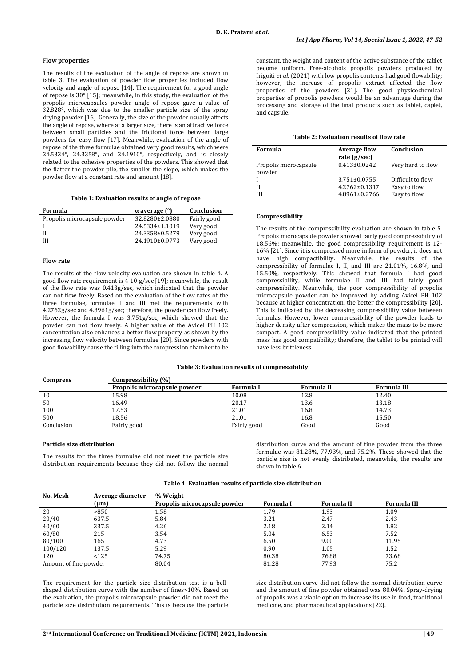### **Flow properties**

The results of the evaluation of the angle of repose are shown in table 3. The evaluation of powder flow properties included flow velocity and angle of repose [14]. The requirement for a good angle of repose is 30° [15]; meanwhile, in this study, the evaluation of the propolis microcapsules powder angle of repose gave a value of 32.828°, which was due to the smaller particle size of the spray drying powder [16]. Generally, the size of the powder usually affects the angle of repose, where at a larger size, there is an attractive force between small particles and the frictional force between large powders for easy flow [17]. Meanwhile, evaluation of the angle of repose of the three formulae obtained very good results, which were 24.5334°, 24.3358°, and 24.1910°, respectively, and is closely related to the cohesive properties of the powders. This showed that the flatter the powder pile, the smaller the slope, which makes the powder flow at a constant rate and amount [18].

**Table 1: Evaluation results of angle of repose**

| Formula                      | $\alpha$ average $\binom{\circ}{\alpha}$ | Conclusion  |
|------------------------------|------------------------------------------|-------------|
| Propolis microcapsule powder | 32.8280±2.0880                           | Fairly good |
|                              | 24.5334±1.1019                           | Very good   |
|                              | 24.3358±0.5279                           | Very good   |
| ИI                           | 24.1910±0.9773                           | Very good   |
|                              |                                          |             |

#### **Flow rate**

The results of the flow velocity evaluation are shown in table 4. A good flow rate requirement is 4-10 g/sec [19]; meanwhile, the result of the flow rate was 0.413g/sec, which indicated that the powder can not flow freely. Based on the evaluation of the flow rates of the three formulae, formulae II and III met the requirements with 4.2762g/sec and 4.8961g/sec; therefore, the powder can flow freely. However, the formula I was 3.751g/sec, which showed that the powder can not flow freely. A higher value of the Avicel PH 102 concentration also enhances a better flow property as shown by the increasing flow velocity between formulae [20]. Since powders with good flowability cause the filling into the compression chamber to be constant, the weight and content of the active substance of the tablet become uniform. Free-alcohols propolis powders produced by Irigoiti *et al.* (2021) with low propolis contents had good flowability; however, the increase of propolis extract affected the flow properties of the powders [21]. The good physicochemical properties of propolis powders would be an advantage during the processing and storage of the final products such as tablet, caplet, and capsule.

#### **Table 2: Evaluation results of flow rate**

| Formula                         | <b>Average flow</b><br>rate $(g/sec)$ | Conclusion        |
|---------------------------------|---------------------------------------|-------------------|
| Propolis microcapsule<br>powder | $0.413 \pm 0.0242$                    | Very hard to flow |
|                                 | $3.751 \pm 0.0755$                    | Difficult to flow |
| Н                               | $4.2762 \pm 0.1317$                   | Easy to flow      |
| ш                               | 4.8961±0.2766                         | Easy to flow      |

### **Compressibility**

The results of the compressibility evaluation are shown in table 5. Propolis microcapsule powder showed fairly good compressibility of 18.56%; meanwhile, the good compressibility requirement is 12- 16% [21]. Since it is compressed more in form of powder, it does not have high compactibility. Meanwhile, the results of the compressibility of formulae I, II, and III are 21.01%, 16.8%, and 15.50%, respectively. This showed that formula I had good compressibility, while formulae II and III had fairly good compressibility. Meanwhile, the poor compressibility of propolis microcapsule powder can be improved by adding Avicel PH 102 because at higher concentration, the better the compressibility [20]. This is indicated by the decreasing compressibility value between formulas. However, lower compressibility of the powder leads to higher density after compression, which makes the mass to be more compact. A good compressibility value indicated that the printed mass has good compatibility; therefore, the tablet to be printed will have less brittleness.

### **Table 3: Evaluation results of compressibility**

| <b>Compress</b> | Compressibility (%)          |             |            |             |
|-----------------|------------------------------|-------------|------------|-------------|
|                 | Propolis microcapsule powder | Formula I   | Formula II | Formula III |
| 10              | 15.98                        | 10.08       | 12.8       | 12.40       |
| 50              | 16.49                        | 20.17       | 13.6       | 13.18       |
| 100             | 17.53                        | 21.01       | 16.8       | 14.73       |
| 500             | 18.56                        | 21.01       | 16.8       | 15.50       |
| Conclusion      | Fairly good                  | Fairly good | Good       | Good        |

## **Particle size distribution**

The results for the three formulae did not meet the particle size distribution requirements because they did not follow the normal

distribution curve and the amount of fine powder from the three formulae was 81.28%, 77.93%, and 75.2%. These showed that the particle size is not evenly distributed, meanwhile, the results are shown in table 6.

#### **Table 4: Evaluation results of particle size distribution**

| No. Mesh              | Average diameter | % Weight                     |           |                   |                    |  |
|-----------------------|------------------|------------------------------|-----------|-------------------|--------------------|--|
|                       | $(\mu m)$        | Propolis microcapsule powder | Formula I | <b>Formula II</b> | <b>Formula III</b> |  |
| 20                    | >850             | 1.58                         | 1.79      | 1.93              | 1.09               |  |
| 20/40                 | 637.5            | 5.84                         | 3.21      | 2.47              | 2.43               |  |
| 40/60                 | 337.5            | 4.26                         | 2.18      | 2.14              | 1.82               |  |
| 60/80                 | 215              | 3.54                         | 5.04      | 6.53              | 7.52               |  |
| 80/100                | 165              | 4.73                         | 6.50      | 9.00              | 11.95              |  |
| 100/120               | 137.5            | 5.29                         | 0.90      | 1.05              | 1.52               |  |
| 120                   | <125             | 74.75                        | 80.38     | 76.88             | 73.68              |  |
| Amount of fine powder |                  | 80.04                        | 81.28     | 77.93             | 75.2               |  |
|                       |                  |                              |           |                   |                    |  |

The requirement for the particle size distribution test is a bellshaped distribution curve with the number of fines>10%. Based on the evaluation, the propolis microcapsule powder did not meet the particle size distribution requirements. This is because the particle size distribution curve did not follow the normal distribution curve and the amount of fine powder obtained was 80.04%. Spray-drying of propolis was a viable option to increase its use in food, traditional medicine, and pharmaceutical applications [22].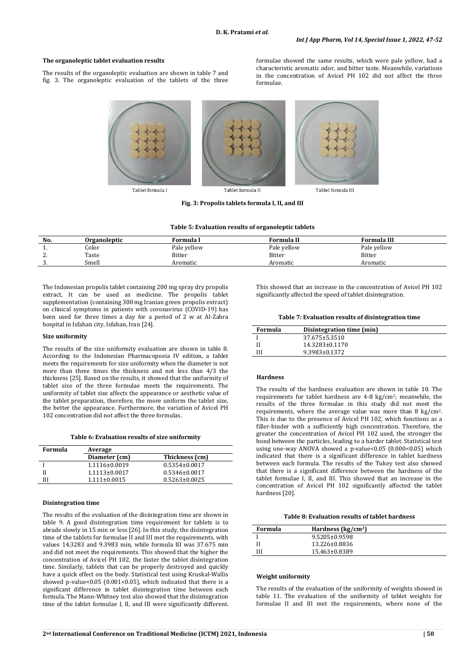formulae.

formulae showed the same results, which were pale yellow, had a characteristic aromatic odor, and bitter taste. Meanwhile, variations in the concentration of Avicel PH 102 did not affect the three

### **The organoleptic tablet evaluation results**

The results of the organoleptic evaluation are shown in table 7 and fig. 3. The organoleptic evaluation of the tablets of the three



Tablet formula I

Tablet formula II

**Fig. 3: Propolis tablets formula I, II, and III**

| Table 5: Evaluation results of organoleptic tablets |
|-----------------------------------------------------|
|-----------------------------------------------------|

| No.               | Organoleptic | Formula I     | Formula II    | <b>Formula III</b> |
|-------------------|--------------|---------------|---------------|--------------------|
| . .               | Color        | Pale yellow   | Pale vellow   | Pale yellow        |
| n<br><u>.</u>     | Taste        | <b>Bitter</b> | <b>Bitter</b> | <b>Bitter</b>      |
| $\sqrt{2}$<br>. ن | Smell        | Aromatic      | Aromatic      | Aromatic           |

The Indonesian propolis tablet containing 200 mg spray dry propolis extract, It can be used as medicine. The propolis tablet supplementation (containing 300 mg Iranian green propolis extract) on clinical symptoms in patients with coronavirus (COVID-19) has been used for three times a day for a period of 2 w at Al-Zahra hospital in Isfahan city, Isfahan, Iran [24].

### **Size uniformity**

The results of the size uniformity evaluation are shown in table 8. According to the Indonesian Pharmacopoeia IV edition, a tablet meets the requirements for size uniformity when the diameter is not more than three times the thickness and not less than 4/3 the thickness [25]. Based on the results, it showed that the uniformity of tablet size of the three formulae meets the requirements. The uniformity of tablet size affects the appearance or aesthetic value of the tablet preparation, therefore, the more uniform the tablet size, the better the appearance. Furthermore, the variation of Avicel PH 102 concentration did not affect the three formulas.

**Table 6: Evaluation results of size uniformity**

| Formula | Average            |                     |  |
|---------|--------------------|---------------------|--|
|         | Diameter (cm)      | Thickness (cm)      |  |
|         | 1.1116±0.0019      | $0.5354 \pm 0.0017$ |  |
|         | $1.1113\pm0.0017$  | $0.5346 \pm 0.0017$ |  |
| Ш       | $1.111 \pm 0.0015$ | $0.5263 \pm 0.0025$ |  |
|         |                    |                     |  |

#### **Disintegration time**

The results of the evaluation of the disintegration time are shown in table 9. A good disintegration time requirement for tablets is to abrade slowly in 15 min or less [26]. In this study, the disintegration time of the tablets for formulae II and III met the requirements, with values 14.3283 and 9.3983 min, while formula III was 37.675 min and did not meet the requirements. This showed that the higher the concentration of Avicel PH 102, the faster the tablet disintegration time. Similarly, tablets that can be properly destroyed and quickly have a quick effect on the body. Statistical test using Kruskal-Wallis showed p-value< $0.05$  ( $0.001<0.05$ ), which indicated that there is a significant difference in tablet disintegration time between each formula. The Mann-Whitney test also showed that the disintegration time of the tablet formulae I, II, and III were significantly different. This showed that an increase in the concentration of Avicel PH 102 significantly affected the speed of tablet disintegration.

Tablet formula III

**Table 7: Evaluation results of disintegration time**

| Formula | Disintegration time (min) |  |
|---------|---------------------------|--|
|         | 37.675±5.3510             |  |
|         | 14.3283±0.1170            |  |
|         | 9.3983±0.1372             |  |

### **Hardness**

The results of the hardness evaluation are shown in table 10. The requirements for tablet hardness are 4-8 kg/cm2; meanwhile, the results of the three formulae in this study did not meet the requirements, where the average value was more than 8 kg/cm2. This is due to the presence of Avicel PH 102, which functions as a filler-binder with a sufficiently high concentration. Therefore, the greater the concentration of Avicel PH 102 used, the stronger the bond between the particles, leading to a harder tablet. Statistical test using one-way ANOVA showed a p-value<0.05 (0.000<0.05) which indicated that there is a significant difference in tablet hardness between each formula. The results of the Tukey test also showed that there is a significant difference between the hardness of the tablet formulae I, II, and III. This showed that an increase in the concentration of Avicel PH 102 significantly affected the tablet hardness [20].

| Formula | Hardness $\frac{kg}{cm^2}$ |  |
|---------|----------------------------|--|
|         | 9.5205±0.9598              |  |
|         | 13.226±0.8836              |  |
| Ш       | 15.463±0.8389              |  |

### **Weight uniformity**

The results of the evaluation of the uniformity of weights showed in table 11. The evaluation of the uniformity of tablet weights for formulae II and III met the requirements, where none of the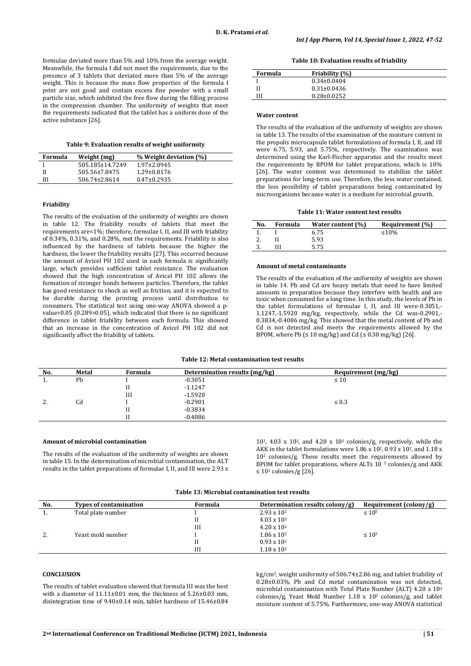formulae deviated more than 5% and 10% from the average weight. Meanwhile, the formula I did not meet the requirements, due to the presence of 3 tablets that deviated more than 5% of the average weight. This is because the mass flow properties of the formula I print are not good and contain excess fine powder with a small particle size, which inhibited the free flow during the filling process in the compression chamber. The uniformity of weights that meet the requirements indicated that the tablet has a uniform dose of the active substance [26].

#### **Table 9: Evaluation results of weight uniformity**

| Formula | Weight (mg)     | % Weight deviation (%) |
|---------|-----------------|------------------------|
|         | 505.185±14.7249 | $1.97 \pm 2.0945$      |
|         | 505.56±7.8475   | 1.29±0.8176            |
| Ш       | 506.74±2.8614   | $0.47 \pm 0.2935$      |

## **Friability**

The results of the evaluation of the uniformity of weights are shown in table 12. The friability results of tablets that meet the requirements are<1%; therefore, formulae I, II, and III with friability of 0.34%, 0.31%, and 0.28%, met the requirements. Friability is also influenced by the hardness of tablets because the higher the hardness, the lower the friability results [27]. This occurred because the amount of Avicel PH 102 used in each formula is significantly large, which provides sufficient tablet resistance. The evaluation showed that the high concentration of Avicel PH 102 allows the formation of stronger bonds between particles. Therefore, the tablet has good resistance to shock as well as friction, and it is expected to be durable during the printing process until distribution to consumers. The statistical test using one-way ANOVA showed a pvalue>0.05 (0.289>0.05), which indicated that there is no significant difference in tablet friability between each formula. This showed that an increase in the concentration of Avicel PH 102 did not significantly affect the friability of tablets.

### **Table 10: Evaluation results of friability**

| Formula | Friability (%)    |
|---------|-------------------|
|         | $0.34 \pm 0.0404$ |
|         | $0.31 \pm 0.0436$ |
|         | $0.28 \pm 0.0252$ |

### **Water content**

The results of the evaluation of the uniformity of weights are shown in table 13. The results of the examination of the moisture content in the propolis microcapsule tablet formulations of formula I, II, and III were 6.75, 5.93, and 5.75%, respectively. The examination was determined using the Karl-Fischer apparatus and the results meet the requirements by BPOM for tablet preparations, which is 10% [26]. The water content was determined to stabilize the tablet preparations for long-term use. Therefore, the less water contained, the less possibility of tablet preparations being contaminated by microorganisms because water is a medium for microbial growth.

## **Table 11: Water content test results**

| No. | Formula | Water content (%) | Requirement (%) |
|-----|---------|-------------------|-----------------|
|     |         | 6.75              | ≤10\%           |
|     |         | 5.93              |                 |
| J.  |         | 5.75              |                 |

#### **Amount of metal contaminants**

The results of the evaluation of the uniformity of weights are shown in table 14. Pb and Cd are heavy metals that need to have limited amounts in preparation because they interfere with health and are toxic when consumed for a long time. In this study, the levels of Pb in the tablet formulations of formulae I, II, and III were-0.3051,- 1.1247,-1.5920 mg/kg, respectively, while the Cd was-0.2901,- 0.3834,-0.4086 mg/kg. This showed that the metal content of Pb and Cd is not detected and meets the requirements allowed by the BPOM, where Pb ( $\leq 10 \text{ mg/kg}$ ) and Cd ( $\leq 0.30 \text{ mg/kg}$ ) [26].

## **Table 12: Metal contamination test results**

| Requirement (mg/kg) | Determination results (mg/kg) | Formula | Metal | No.      |
|---------------------|-------------------------------|---------|-------|----------|
| $\leq 10$           | $-0.3051$                     |         | Pb    | . .      |
|                     | $-1.1247$                     |         |       |          |
|                     | $-1.5920$                     | III     |       |          |
| $\leq 0.3$          | $-0.2901$                     |         | Cd    | <u>.</u> |
|                     | -0.3834                       |         |       |          |
|                     | $-0.4086$                     |         |       |          |
|                     |                               |         |       |          |

### **Amount of microbial contamination**

The results of the evaluation of the uniformity of weights are shown in table 15. In the determination of microbial contamination, the ALT results in the tablet preparations of formulae I, II, and III were 2.93 x

 $10^2$ , 4.03 x 10<sup>2</sup>, and 4.20 x  $10^2$  colonies/g, respectively, while the AKK in the tablet formulations were 1.86 x 10<sup>2</sup>, 0.93 x 10<sup>2</sup>, and 1.18 x  $10<sup>2</sup>$  colonies/g. These results meet the requirements allowed by BPOM for tablet preparations, where ALT 
subseteq 10  $\frac{1}{2}$  colonies/g and AKK ≤ 10<sup>3</sup> colonies/g [26].

## **Table 13: Microbial contamination test results**

| No.      | <b>Types of contamination</b> | Formula | Determination results colony/g) | Requirement $(colony/g)$ |
|----------|-------------------------------|---------|---------------------------------|--------------------------|
| π.       | Total plate number            |         | $2.93 \times 10^{2}$            | $\leq 10^5$              |
|          |                               |         | $4.03 \times 10^{2}$            |                          |
|          |                               | Ш       | $4.20 \times 10^{2}$            |                          |
| <u>.</u> | Yeast mold number             |         | $1.86 \times 10^{2}$            | $\leq 10^3$              |
|          |                               |         | $0.93 \times 10^{2}$            |                          |
|          |                               | Ш       | $1.18 \times 10^{2}$            |                          |

## **CONCLUSION**

The results of tablet evaluation showed that formula III was the best with a diameter of 11.11±0.01 mm, the thickness of 5.26±0.03 mm, disintegration time of 9.40±0.14 min, tablet hardness of 15.46±0.84

kg/cm2, weight uniformity of 506.74±2.86 mg, and tablet friability of 0.28±0.03%. Pb and Cd metal contamination was not detected, microbial contamination with Total Plate Number (ALT) 4.20 x 102 colonies/g, Yeast Mold Number 1.18 x 102 colonies/g, and tablet moisture content of 5.75%. Furthermore, one-way ANOVA statistical